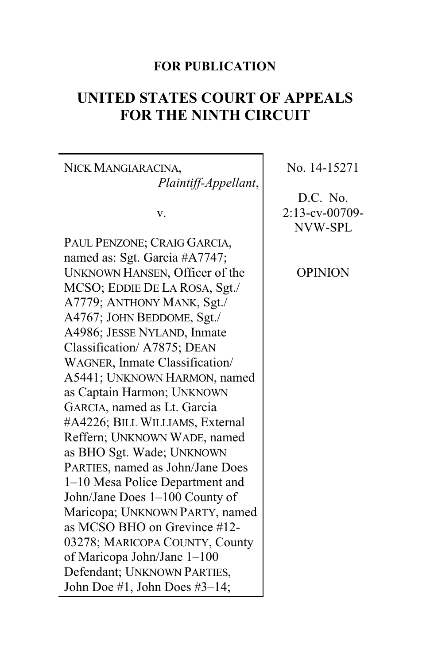## **FOR PUBLICATION**

# **UNITED STATES COURT OF APPEALS FOR THE NINTH CIRCUIT**

NICK MANGIARACINA, *Plaintiff-Appellant*,

v.

PAUL PENZONE; CRAIG GARCIA, named as: Sgt. Garcia #A7747; UNKNOWN HANSEN, Officer of the MCSO; EDDIE DE LA ROSA, Sgt./ A7779; ANTHONY MANK, Sgt./ A4767; JOHN BEDDOME, Sgt./ A4986; JESSE NYLAND, Inmate Classification/ A7875; DEAN WAGNER, Inmate Classification/ A5441; UNKNOWN HARMON, named as Captain Harmon; UNKNOWN GARCIA, named as Lt. Garcia #A4226; BILL WILLIAMS, External Reffern; UNKNOWN WADE, named as BHO Sgt. Wade; UNKNOWN PARTIES, named as John/Jane Does 1–10 Mesa Police Department and John/Jane Does 1–100 County of Maricopa; UNKNOWN PARTY, named as MCSO BHO on Grevince #12- 03278; MARICOPA COUNTY, County of Maricopa John/Jane 1–100 Defendant; UNKNOWN PARTIES, John Doe #1, John Does #3–14;

No. 14-15271

D.C. No. 2:13-cv-00709- NVW-SPL

OPINION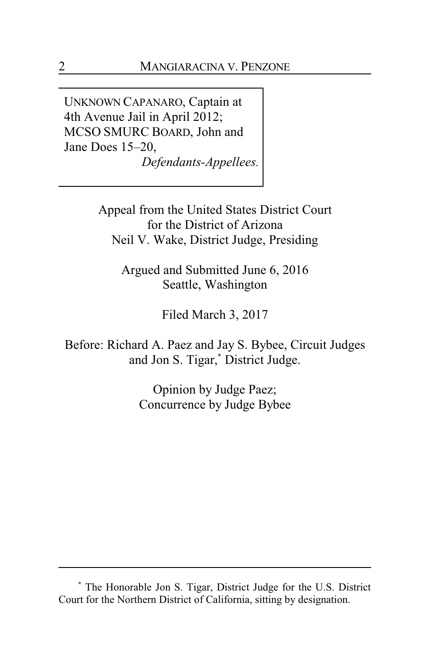UNKNOWN CAPANARO, Captain at 4th Avenue Jail in April 2012; MCSO SMURC BOARD, John and Jane Does 15–20, *Defendants-Appellees.*

> Appeal from the United States District Court for the District of Arizona Neil V. Wake, District Judge, Presiding

Argued and Submitted June 6, 2016 Seattle, Washington

Filed March 3, 2017

Before: Richard A. Paez and Jay S. Bybee, Circuit Judges and Jon S. Tigar,**\*** District Judge.

> Opinion by Judge Paez; Concurrence by Judge Bybee

**<sup>\*</sup>** The Honorable Jon S. Tigar, District Judge for the U.S. District Court for the Northern District of California, sitting by designation.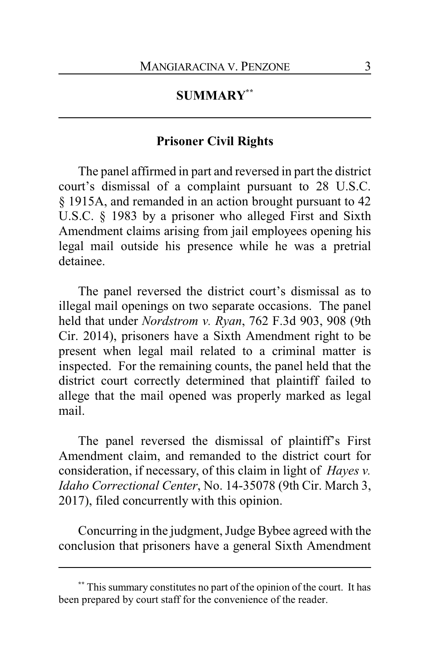## **SUMMARY\*\***

## **Prisoner Civil Rights**

The panel affirmed in part and reversed in part the district court's dismissal of a complaint pursuant to 28 U.S.C. § 1915A, and remanded in an action brought pursuant to 42 U.S.C. § 1983 by a prisoner who alleged First and Sixth Amendment claims arising from jail employees opening his legal mail outside his presence while he was a pretrial detainee.

The panel reversed the district court's dismissal as to illegal mail openings on two separate occasions. The panel held that under *Nordstrom v. Ryan*, 762 F.3d 903, 908 (9th Cir. 2014), prisoners have a Sixth Amendment right to be present when legal mail related to a criminal matter is inspected. For the remaining counts, the panel held that the district court correctly determined that plaintiff failed to allege that the mail opened was properly marked as legal mail.

The panel reversed the dismissal of plaintiff's First Amendment claim, and remanded to the district court for consideration, if necessary, of this claim in light of *Hayes v. Idaho Correctional Center*, No. 14-35078 (9th Cir. March 3, 2017), filed concurrently with this opinion.

Concurring in the judgment, Judge Bybee agreed with the conclusion that prisoners have a general Sixth Amendment

**<sup>\*\*</sup>** This summary constitutes no part of the opinion of the court. It has been prepared by court staff for the convenience of the reader.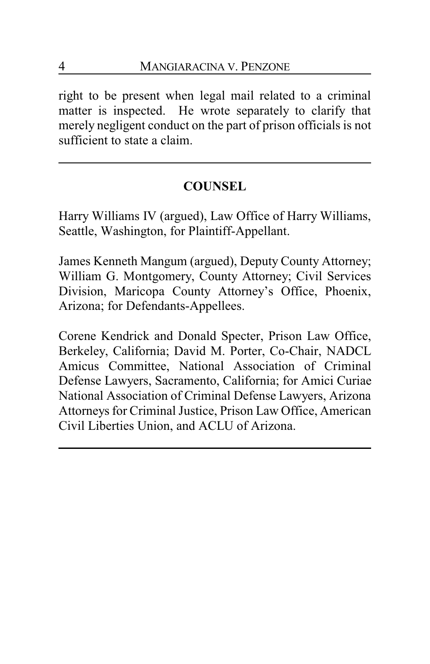right to be present when legal mail related to a criminal matter is inspected. He wrote separately to clarify that merely negligent conduct on the part of prison officials is not sufficient to state a claim.

## **COUNSEL**

Harry Williams IV (argued), Law Office of Harry Williams, Seattle, Washington, for Plaintiff-Appellant.

James Kenneth Mangum (argued), Deputy County Attorney; William G. Montgomery, County Attorney; Civil Services Division, Maricopa County Attorney's Office, Phoenix, Arizona; for Defendants-Appellees.

Corene Kendrick and Donald Specter, Prison Law Office, Berkeley, California; David M. Porter, Co-Chair, NADCL Amicus Committee, National Association of Criminal Defense Lawyers, Sacramento, California; for Amici Curiae National Association of Criminal Defense Lawyers, Arizona Attorneys for Criminal Justice, Prison Law Office, American Civil Liberties Union, and ACLU of Arizona.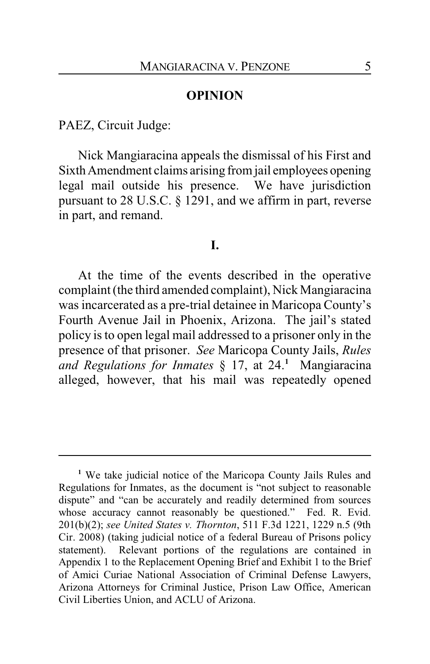### **OPINION**

PAEZ, Circuit Judge:

Nick Mangiaracina appeals the dismissal of his First and Sixth Amendment claims arising from jail employees opening legal mail outside his presence. We have jurisdiction pursuant to 28 U.S.C. § 1291, and we affirm in part, reverse in part, and remand.

## **I.**

At the time of the events described in the operative complaint (the third amended complaint), Nick Mangiaracina was incarcerated as a pre-trial detainee in Maricopa County's Fourth Avenue Jail in Phoenix, Arizona. The jail's stated policy is to open legal mail addressed to a prisoner only in the presence of that prisoner. *See* Maricopa County Jails, *Rules and Regulations for Inmates* § 17, at 24. **<sup>1</sup>** Mangiaracina alleged, however, that his mail was repeatedly opened

**<sup>1</sup>** We take judicial notice of the Maricopa County Jails Rules and Regulations for Inmates, as the document is "not subject to reasonable dispute" and "can be accurately and readily determined from sources whose accuracy cannot reasonably be questioned." Fed. R. Evid. 201(b)(2); *see United States v. Thornton*, 511 F.3d 1221, 1229 n.5 (9th Cir. 2008) (taking judicial notice of a federal Bureau of Prisons policy statement). Relevant portions of the regulations are contained in Appendix 1 to the Replacement Opening Brief and Exhibit 1 to the Brief of Amici Curiae National Association of Criminal Defense Lawyers, Arizona Attorneys for Criminal Justice, Prison Law Office, American Civil Liberties Union, and ACLU of Arizona.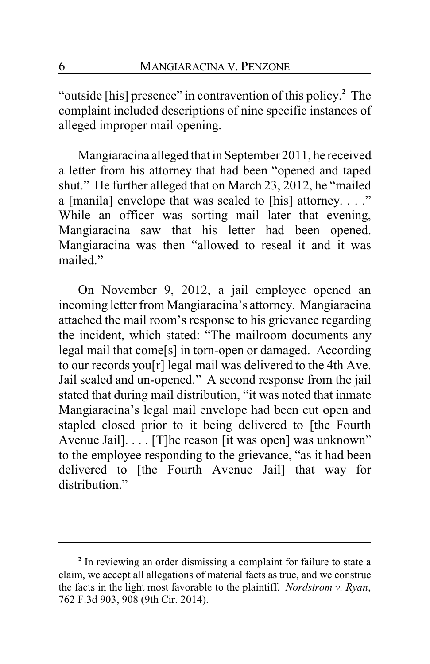"outside [his] presence" in contravention of this policy. **<sup>2</sup>** The complaint included descriptions of nine specific instances of alleged improper mail opening.

Mangiaracina alleged that in September 2011, he received a letter from his attorney that had been "opened and taped shut." He further alleged that on March 23, 2012, he "mailed a [manila] envelope that was sealed to [his] attorney. . . ." While an officer was sorting mail later that evening, Mangiaracina saw that his letter had been opened. Mangiaracina was then "allowed to reseal it and it was mailed."

On November 9, 2012, a jail employee opened an incoming letter from Mangiaracina's attorney. Mangiaracina attached the mail room's response to his grievance regarding the incident, which stated: "The mailroom documents any legal mail that come[s] in torn-open or damaged. According to our records you[r] legal mail was delivered to the 4th Ave. Jail sealed and un-opened." A second response from the jail stated that during mail distribution, "it was noted that inmate Mangiaracina's legal mail envelope had been cut open and stapled closed prior to it being delivered to [the Fourth Avenue Jail]. . . . [T]he reason [it was open] was unknown" to the employee responding to the grievance, "as it had been delivered to [the Fourth Avenue Jail] that way for distribution"

**<sup>2</sup>** In reviewing an order dismissing a complaint for failure to state a claim, we accept all allegations of material facts as true, and we construe the facts in the light most favorable to the plaintiff. *Nordstrom v. Ryan*, 762 F.3d 903, 908 (9th Cir. 2014).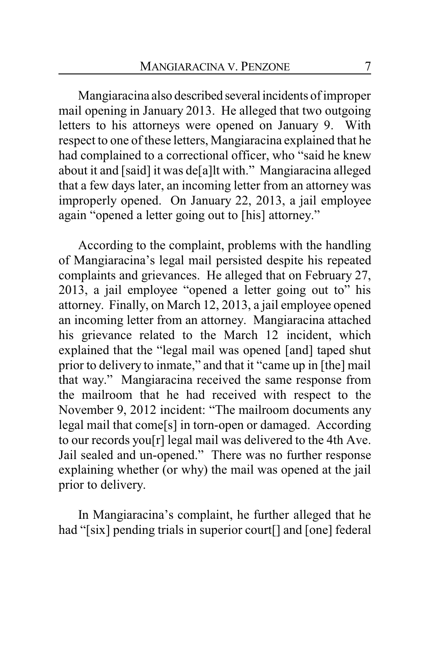Mangiaracina also described several incidents of improper mail opening in January 2013. He alleged that two outgoing letters to his attorneys were opened on January 9. With respect to one of these letters, Mangiaracina explained that he had complained to a correctional officer, who "said he knew about it and [said] it was de[a]lt with." Mangiaracina alleged that a few days later, an incoming letter from an attorney was improperly opened. On January 22, 2013, a jail employee again "opened a letter going out to [his] attorney."

According to the complaint, problems with the handling of Mangiaracina's legal mail persisted despite his repeated complaints and grievances. He alleged that on February 27, 2013, a jail employee "opened a letter going out to" his attorney. Finally, on March 12, 2013, a jail employee opened an incoming letter from an attorney. Mangiaracina attached his grievance related to the March 12 incident, which explained that the "legal mail was opened [and] taped shut prior to delivery to inmate," and that it "came up in [the] mail that way." Mangiaracina received the same response from the mailroom that he had received with respect to the November 9, 2012 incident: "The mailroom documents any legal mail that come[s] in torn-open or damaged. According to our records you[r] legal mail was delivered to the 4th Ave. Jail sealed and un-opened." There was no further response explaining whether (or why) the mail was opened at the jail prior to delivery.

In Mangiaracina's complaint, he further alleged that he had "[six] pending trials in superior court[] and [one] federal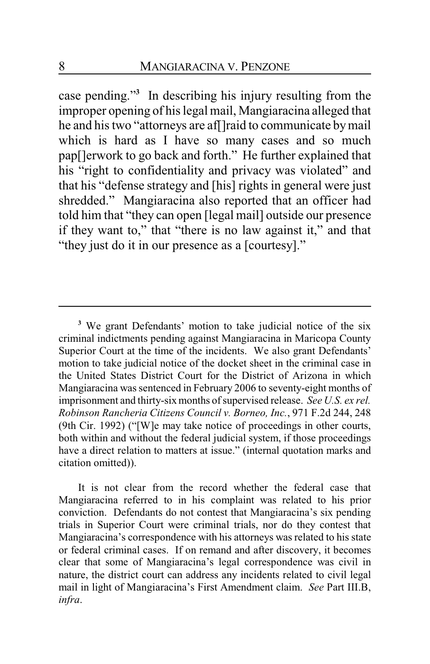case pending."**<sup>3</sup>** In describing his injury resulting from the improper opening of his legal mail, Mangiaracina alleged that he and his two "attorneys are af[]raid to communicate by mail which is hard as I have so many cases and so much pap[]erwork to go back and forth." He further explained that his "right to confidentiality and privacy was violated" and that his "defense strategy and [his] rights in general were just shredded." Mangiaracina also reported that an officer had told him that "they can open [legal mail] outside our presence if they want to," that "there is no law against it," and that "they just do it in our presence as a [courtesy]."

It is not clear from the record whether the federal case that Mangiaracina referred to in his complaint was related to his prior conviction. Defendants do not contest that Mangiaracina's six pending trials in Superior Court were criminal trials, nor do they contest that Mangiaracina's correspondence with his attorneys was related to his state or federal criminal cases. If on remand and after discovery, it becomes clear that some of Mangiaracina's legal correspondence was civil in nature, the district court can address any incidents related to civil legal mail in light of Mangiaracina's First Amendment claim. *See* Part III.B, *infra*.

**<sup>3</sup>** We grant Defendants' motion to take judicial notice of the six criminal indictments pending against Mangiaracina in Maricopa County Superior Court at the time of the incidents. We also grant Defendants' motion to take judicial notice of the docket sheet in the criminal case in the United States District Court for the District of Arizona in which Mangiaracina was sentenced in February 2006 to seventy-eight months of imprisonment and thirty-six months of supervised release. *See U.S. ex rel. Robinson Rancheria Citizens Council v. Borneo, Inc.*, 971 F.2d 244, 248 (9th Cir. 1992) ("[W]e may take notice of proceedings in other courts, both within and without the federal judicial system, if those proceedings have a direct relation to matters at issue." (internal quotation marks and citation omitted)).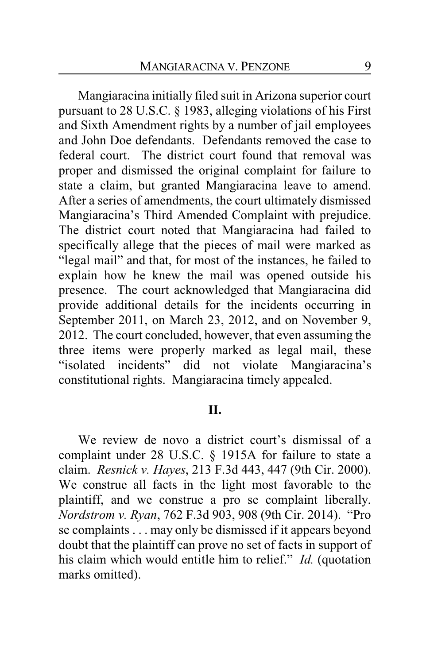Mangiaracina initially filed suit in Arizona superior court pursuant to 28 U.S.C. § 1983, alleging violations of his First and Sixth Amendment rights by a number of jail employees and John Doe defendants. Defendants removed the case to federal court. The district court found that removal was proper and dismissed the original complaint for failure to state a claim, but granted Mangiaracina leave to amend. After a series of amendments, the court ultimately dismissed Mangiaracina's Third Amended Complaint with prejudice. The district court noted that Mangiaracina had failed to specifically allege that the pieces of mail were marked as "legal mail" and that, for most of the instances, he failed to explain how he knew the mail was opened outside his presence. The court acknowledged that Mangiaracina did provide additional details for the incidents occurring in September 2011, on March 23, 2012, and on November 9, 2012. The court concluded, however, that even assuming the three items were properly marked as legal mail, these "isolated incidents" did not violate Mangiaracina's constitutional rights. Mangiaracina timely appealed.

#### **II.**

We review de novo a district court's dismissal of a complaint under 28 U.S.C. § 1915A for failure to state a claim. *Resnick v. Hayes*, 213 F.3d 443, 447 (9th Cir. 2000). We construe all facts in the light most favorable to the plaintiff, and we construe a pro se complaint liberally. *Nordstrom v. Ryan*, 762 F.3d 903, 908 (9th Cir. 2014). "Pro se complaints . . . may only be dismissed if it appears beyond doubt that the plaintiff can prove no set of facts in support of his claim which would entitle him to relief." *Id.* (quotation marks omitted).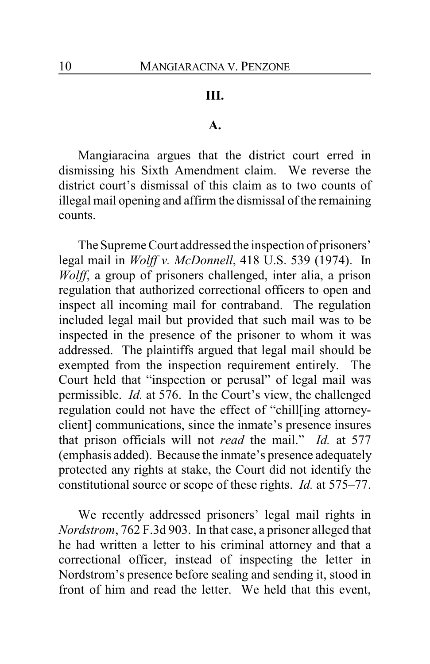## **III.**

#### **A.**

Mangiaracina argues that the district court erred in dismissing his Sixth Amendment claim. We reverse the district court's dismissal of this claim as to two counts of illegal mail opening and affirm the dismissal of the remaining counts.

The Supreme Court addressed the inspection of prisoners' legal mail in *Wolff v. McDonnell*, 418 U.S. 539 (1974). In *Wolff*, a group of prisoners challenged, inter alia, a prison regulation that authorized correctional officers to open and inspect all incoming mail for contraband. The regulation included legal mail but provided that such mail was to be inspected in the presence of the prisoner to whom it was addressed. The plaintiffs argued that legal mail should be exempted from the inspection requirement entirely. The Court held that "inspection or perusal" of legal mail was permissible. *Id.* at 576. In the Court's view, the challenged regulation could not have the effect of "chill[ing attorneyclient] communications, since the inmate's presence insures that prison officials will not *read* the mail." *Id.* at 577 (emphasis added). Because the inmate's presence adequately protected any rights at stake, the Court did not identify the constitutional source or scope of these rights. *Id.* at 575–77.

We recently addressed prisoners' legal mail rights in *Nordstrom*, 762 F.3d 903. In that case, a prisoner alleged that he had written a letter to his criminal attorney and that a correctional officer, instead of inspecting the letter in Nordstrom's presence before sealing and sending it, stood in front of him and read the letter. We held that this event,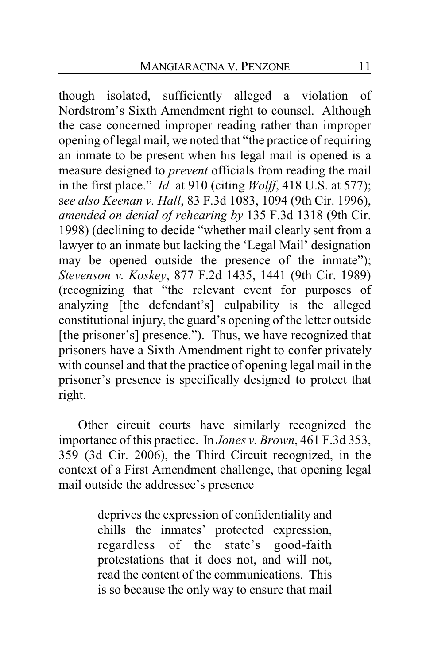though isolated, sufficiently alleged a violation of Nordstrom's Sixth Amendment right to counsel. Although the case concerned improper reading rather than improper opening of legal mail, we noted that "the practice of requiring an inmate to be present when his legal mail is opened is a measure designed to *prevent* officials from reading the mail in the first place." *Id.* at 910 (citing *Wolff*, 418 U.S. at 577); s*ee also Keenan v. Hall*, 83 F.3d 1083, 1094 (9th Cir. 1996), *amended on denial of rehearing by* 135 F.3d 1318 (9th Cir. 1998) (declining to decide "whether mail clearly sent from a lawyer to an inmate but lacking the 'Legal Mail' designation may be opened outside the presence of the inmate"); *Stevenson v. Koskey*, 877 F.2d 1435, 1441 (9th Cir. 1989) (recognizing that "the relevant event for purposes of analyzing [the defendant's] culpability is the alleged constitutional injury, the guard's opening of the letter outside [the prisoner's] presence."). Thus, we have recognized that prisoners have a Sixth Amendment right to confer privately with counsel and that the practice of opening legal mail in the prisoner's presence is specifically designed to protect that right.

Other circuit courts have similarly recognized the importance of this practice. In *Jones v. Brown*, 461 F.3d 353, 359 (3d Cir. 2006), the Third Circuit recognized, in the context of a First Amendment challenge, that opening legal mail outside the addressee's presence

> deprives the expression of confidentiality and chills the inmates' protected expression, regardless of the state's good-faith protestations that it does not, and will not, read the content of the communications. This is so because the only way to ensure that mail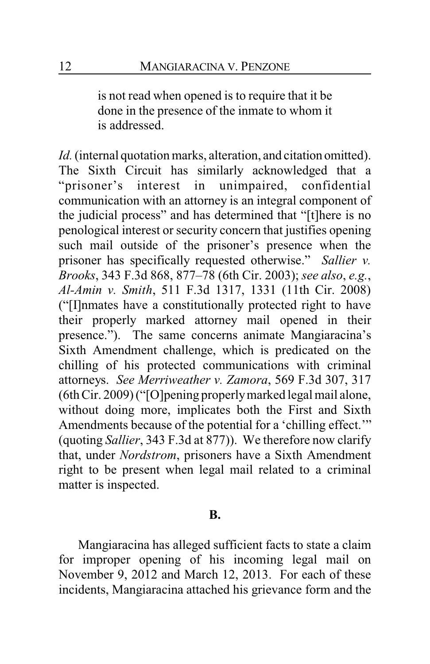is not read when opened is to require that it be done in the presence of the inmate to whom it is addressed.

*Id.*(internal quotation marks, alteration, and citation omitted). The Sixth Circuit has similarly acknowledged that a "prisoner's interest in unimpaired, confidential communication with an attorney is an integral component of the judicial process" and has determined that "[t]here is no penological interest or security concern that justifies opening such mail outside of the prisoner's presence when the prisoner has specifically requested otherwise." *Sallier v. Brooks*, 343 F.3d 868, 877–78 (6th Cir. 2003); *see also*, *e.g.*, *Al-Amin v. Smith*, 511 F.3d 1317, 1331 (11th Cir. 2008) ("[I]nmates have a constitutionally protected right to have their properly marked attorney mail opened in their presence."). The same concerns animate Mangiaracina's Sixth Amendment challenge, which is predicated on the chilling of his protected communications with criminal attorneys. *See Merriweather v. Zamora*, 569 F.3d 307, 317 (6th Cir. 2009) ("[O]pening properlymarked legal mail alone, without doing more, implicates both the First and Sixth Amendments because of the potential for a 'chilling effect.'" (quoting *Sallier*, 343 F.3d at 877)). We therefore now clarify that, under *Nordstrom*, prisoners have a Sixth Amendment right to be present when legal mail related to a criminal matter is inspected.

#### **B.**

Mangiaracina has alleged sufficient facts to state a claim for improper opening of his incoming legal mail on November 9, 2012 and March 12, 2013. For each of these incidents, Mangiaracina attached his grievance form and the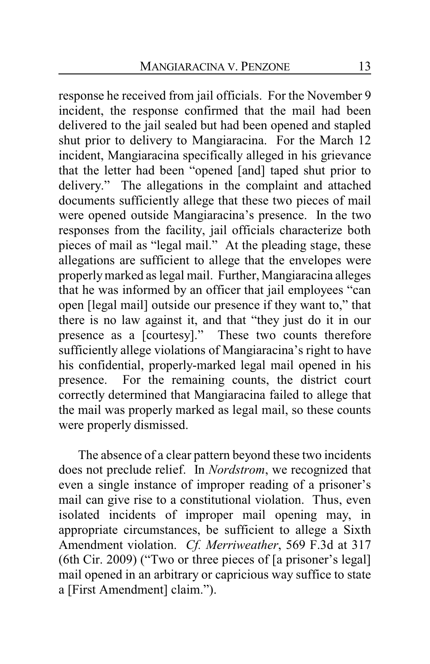response he received from jail officials. For the November 9 incident, the response confirmed that the mail had been delivered to the jail sealed but had been opened and stapled shut prior to delivery to Mangiaracina. For the March 12 incident, Mangiaracina specifically alleged in his grievance that the letter had been "opened [and] taped shut prior to delivery." The allegations in the complaint and attached documents sufficiently allege that these two pieces of mail were opened outside Mangiaracina's presence. In the two responses from the facility, jail officials characterize both pieces of mail as "legal mail." At the pleading stage, these allegations are sufficient to allege that the envelopes were properlymarked as legal mail. Further, Mangiaracina alleges that he was informed by an officer that jail employees "can open [legal mail] outside our presence if they want to," that there is no law against it, and that "they just do it in our presence as a [courtesy]." These two counts therefore sufficiently allege violations of Mangiaracina's right to have his confidential, properly-marked legal mail opened in his presence. For the remaining counts, the district court correctly determined that Mangiaracina failed to allege that the mail was properly marked as legal mail, so these counts were properly dismissed.

The absence of a clear pattern beyond these two incidents does not preclude relief. In *Nordstrom*, we recognized that even a single instance of improper reading of a prisoner's mail can give rise to a constitutional violation. Thus, even isolated incidents of improper mail opening may, in appropriate circumstances, be sufficient to allege a Sixth Amendment violation. *Cf. Merriweather*, 569 F.3d at 317 (6th Cir. 2009) ("Two or three pieces of [a prisoner's legal] mail opened in an arbitrary or capricious way suffice to state a [First Amendment] claim.").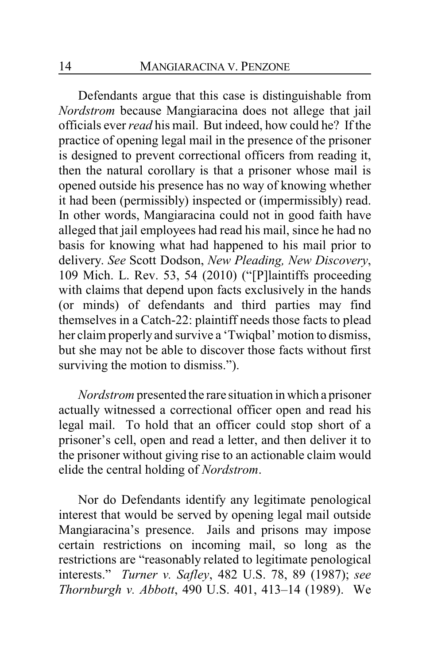Defendants argue that this case is distinguishable from *Nordstrom* because Mangiaracina does not allege that jail officials ever *read* his mail. But indeed, how could he? If the practice of opening legal mail in the presence of the prisoner is designed to prevent correctional officers from reading it, then the natural corollary is that a prisoner whose mail is opened outside his presence has no way of knowing whether it had been (permissibly) inspected or (impermissibly) read. In other words, Mangiaracina could not in good faith have alleged that jail employees had read his mail, since he had no basis for knowing what had happened to his mail prior to delivery. *See* Scott Dodson, *New Pleading, New Discovery*, 109 Mich. L. Rev. 53, 54 (2010) ("[P]laintiffs proceeding with claims that depend upon facts exclusively in the hands (or minds) of defendants and third parties may find themselves in a Catch-22: plaintiff needs those facts to plead her claim properly and survive a 'Twiqbal' motion to dismiss, but she may not be able to discover those facts without first surviving the motion to dismiss.").

*Nordstrom* presented the rare situation in which a prisoner actually witnessed a correctional officer open and read his legal mail. To hold that an officer could stop short of a prisoner's cell, open and read a letter, and then deliver it to the prisoner without giving rise to an actionable claim would elide the central holding of *Nordstrom*.

Nor do Defendants identify any legitimate penological interest that would be served by opening legal mail outside Mangiaracina's presence. Jails and prisons may impose certain restrictions on incoming mail, so long as the restrictions are "reasonably related to legitimate penological interests." *Turner v. Safley*, 482 U.S. 78, 89 (1987); *see Thornburgh v. Abbott*, 490 U.S. 401, 413–14 (1989). We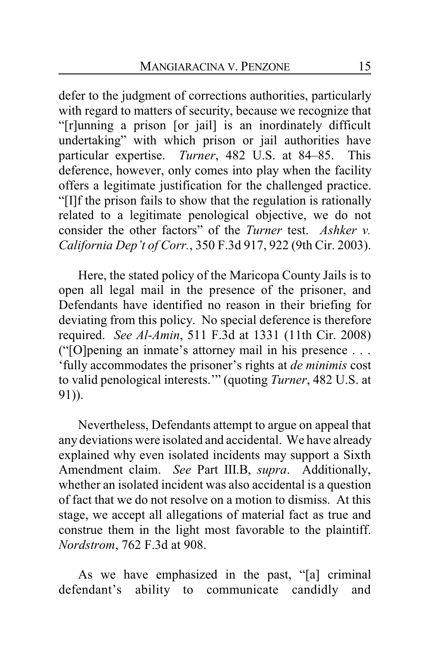defer to the judgment of corrections authorities, particularly with regard to matters of security, because we recognize that "[r]unning a prison [or jail] is an inordinately difficult undertaking" with which prison or jail authorities have particular expertise. *Turner*, 482 U.S. at 84–85. This deference, however, only comes into play when the facility offers a legitimate justification for the challenged practice. "[I]f the prison fails to show that the regulation is rationally related to a legitimate penological objective, we do not consider the other factors" of the *Turner* test. *Ashker v. California Dep't of Corr.*, 350 F.3d 917, 922 (9th Cir. 2003).

Here, the stated policy of the Maricopa County Jails is to open all legal mail in the presence of the prisoner, and Defendants have identified no reason in their briefing for deviating from this policy. No special deference is therefore required. *See Al-Amin*, 511 F.3d at 1331 (11th Cir. 2008) ("[O]pening an inmate's attorney mail in his presence . . . 'fully accommodates the prisoner's rights at *de minimis* cost to valid penological interests.'" (quoting *Turner*, 482 U.S. at 91)).

Nevertheless, Defendants attempt to argue on appeal that any deviations were isolated and accidental. We have already explained why even isolated incidents may support a Sixth Amendment claim. *See* Part III.B, *supra*. Additionally, whether an isolated incident was also accidental is a question of fact that we do not resolve on a motion to dismiss. At this stage, we accept all allegations of material fact as true and construe them in the light most favorable to the plaintiff. *Nordstrom*, 762 F.3d at 908.

As we have emphasized in the past, "[a] criminal defendant's ability to communicate candidly and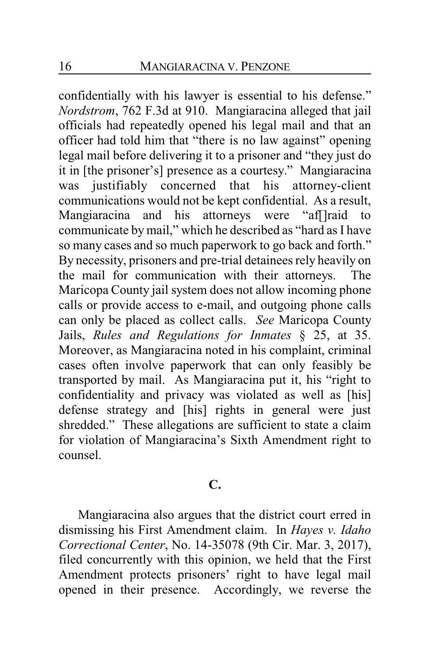confidentially with his lawyer is essential to his defense." *Nordstrom*, 762 F.3d at 910. Mangiaracina alleged that jail officials had repeatedly opened his legal mail and that an officer had told him that "there is no law against" opening legal mail before delivering it to a prisoner and "they just do it in [the prisoner's] presence as a courtesy." Mangiaracina was justifiably concerned that his attorney-client communications would not be kept confidential. As a result, Mangiaracina and his attorneys were "aff]raid to communicate by mail," which he described as "hard as I have so many cases and so much paperwork to go back and forth." By necessity, prisoners and pre-trial detainees rely heavily on the mail for communication with their attorneys. The Maricopa County jail system does not allow incoming phone calls or provide access to e-mail, and outgoing phone calls can only be placed as collect calls. *See* Maricopa County Jails, *Rules and Regulations for Inmates* § 25, at 35. Moreover, as Mangiaracina noted in his complaint, criminal cases often involve paperwork that can only feasibly be transported by mail. As Mangiaracina put it, his "right to confidentiality and privacy was violated as well as [his] defense strategy and [his] rights in general were just shredded." These allegations are sufficient to state a claim for violation of Mangiaracina's Sixth Amendment right to counsel.

## **C.**

Mangiaracina also argues that the district court erred in dismissing his First Amendment claim. In *Hayes v. Idaho Correctional Center*, No. 14-35078 (9th Cir. Mar. 3, 2017), filed concurrently with this opinion, we held that the First Amendment protects prisoners' right to have legal mail opened in their presence. Accordingly, we reverse the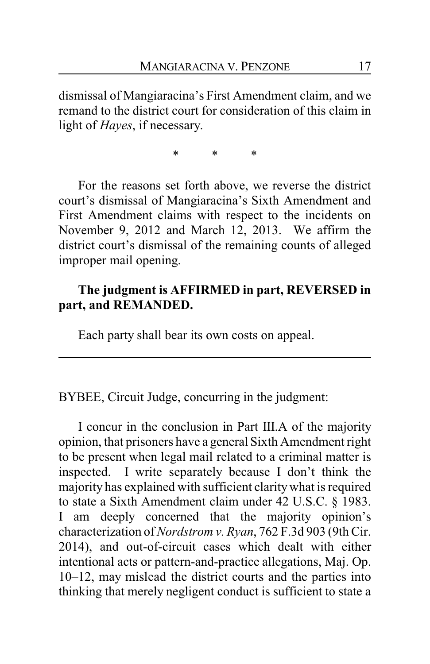dismissal of Mangiaracina's First Amendment claim, and we remand to the district court for consideration of this claim in light of *Hayes*, if necessary.

\* \* \*

For the reasons set forth above, we reverse the district court's dismissal of Mangiaracina's Sixth Amendment and First Amendment claims with respect to the incidents on November 9, 2012 and March 12, 2013. We affirm the district court's dismissal of the remaining counts of alleged improper mail opening.

## **The judgment is AFFIRMED in part, REVERSED in part, and REMANDED.**

Each party shall bear its own costs on appeal.

BYBEE, Circuit Judge, concurring in the judgment:

I concur in the conclusion in Part III.A of the majority opinion, that prisoners have a general Sixth Amendment right to be present when legal mail related to a criminal matter is inspected. I write separately because I don't think the majority has explained with sufficient claritywhat is required to state a Sixth Amendment claim under 42 U.S.C. § 1983. I am deeply concerned that the majority opinion's characterization of *Nordstrom v. Ryan*, 762 F.3d 903 (9th Cir. 2014), and out-of-circuit cases which dealt with either intentional acts or pattern-and-practice allegations, Maj. Op. 10–12, may mislead the district courts and the parties into thinking that merely negligent conduct is sufficient to state a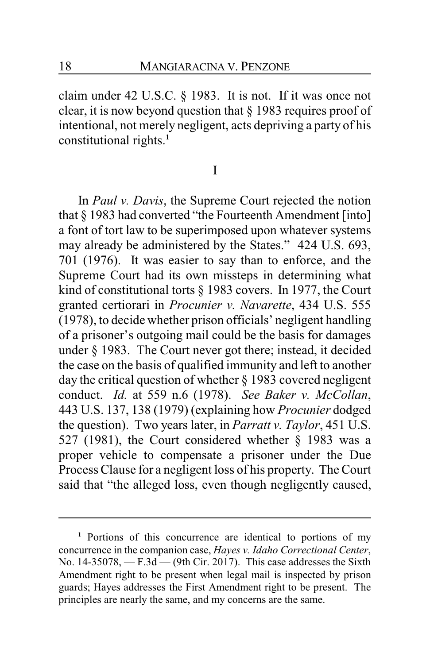claim under 42 U.S.C. § 1983. It is not. If it was once not clear, it is now beyond question that § 1983 requires proof of intentional, not merely negligent, acts depriving a party of his constitutional rights.**<sup>1</sup>**

#### I

In *Paul v. Davis*, the Supreme Court rejected the notion that § 1983 had converted "the Fourteenth Amendment [into] a font of tort law to be superimposed upon whatever systems may already be administered by the States." 424 U.S. 693, 701 (1976). It was easier to say than to enforce, and the Supreme Court had its own missteps in determining what kind of constitutional torts § 1983 covers. In 1977, the Court granted certiorari in *Procunier v. Navarette*, 434 U.S. 555 (1978), to decide whether prison officials' negligent handling of a prisoner's outgoing mail could be the basis for damages under § 1983. The Court never got there; instead, it decided the case on the basis of qualified immunity and left to another day the critical question of whether § 1983 covered negligent conduct. *Id.* at 559 n.6 (1978). *See Baker v. McCollan*, 443 U.S. 137, 138 (1979) (explaining how *Procunier* dodged the question). Two years later, in *Parratt v. Taylor*, 451 U.S. 527 (1981), the Court considered whether § 1983 was a proper vehicle to compensate a prisoner under the Due Process Clause for a negligent loss of his property. The Court said that "the alleged loss, even though negligently caused,

**<sup>1</sup>** Portions of this concurrence are identical to portions of my concurrence in the companion case, *Hayes v. Idaho Correctional Center*, No. 14-35078, — F.3d — (9th Cir. 2017). This case addresses the Sixth Amendment right to be present when legal mail is inspected by prison guards; Hayes addresses the First Amendment right to be present. The principles are nearly the same, and my concerns are the same.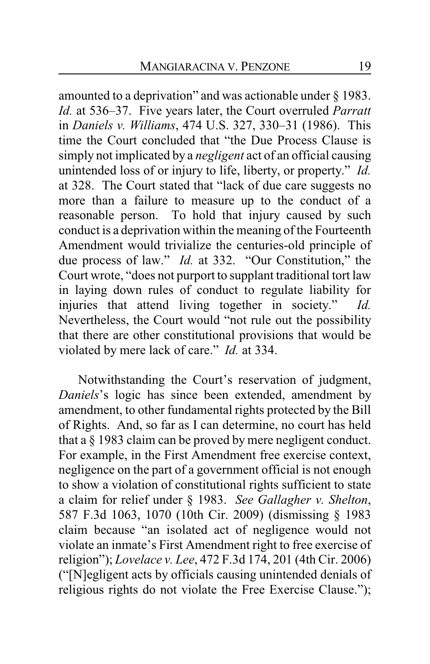amounted to a deprivation" and was actionable under § 1983. *Id.* at 536–37. Five years later, the Court overruled *Parratt* in *Daniels v. Williams*, 474 U.S. 327, 330–31 (1986). This time the Court concluded that "the Due Process Clause is simply not implicated by a *negligent* act of an official causing unintended loss of or injury to life, liberty, or property." *Id.* at 328. The Court stated that "lack of due care suggests no more than a failure to measure up to the conduct of a reasonable person. To hold that injury caused by such conduct is a deprivation within the meaning of the Fourteenth Amendment would trivialize the centuries-old principle of due process of law." *Id.* at 332. "Our Constitution," the Court wrote, "does not purport to supplant traditional tort law in laying down rules of conduct to regulate liability for injuries that attend living together in society." *Id.* Nevertheless, the Court would "not rule out the possibility that there are other constitutional provisions that would be violated by mere lack of care." *Id.* at 334.

Notwithstanding the Court's reservation of judgment, *Daniels*'s logic has since been extended, amendment by amendment, to other fundamental rights protected by the Bill of Rights. And, so far as I can determine, no court has held that a § 1983 claim can be proved by mere negligent conduct. For example, in the First Amendment free exercise context, negligence on the part of a government official is not enough to show a violation of constitutional rights sufficient to state a claim for relief under § 1983. *See Gallagher v. Shelton*, 587 F.3d 1063, 1070 (10th Cir. 2009) (dismissing § 1983 claim because "an isolated act of negligence would not violate an inmate's First Amendment right to free exercise of religion"); *Lovelace v. Lee*, 472 F.3d 174, 201 (4th Cir. 2006) ("[N]egligent acts by officials causing unintended denials of religious rights do not violate the Free Exercise Clause.");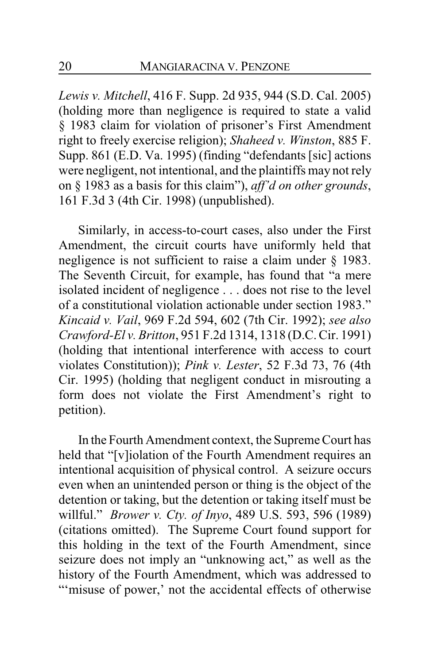*Lewis v. Mitchell*, 416 F. Supp. 2d 935, 944 (S.D. Cal. 2005) (holding more than negligence is required to state a valid § 1983 claim for violation of prisoner's First Amendment right to freely exercise religion); *Shaheed v. Winston*, 885 F. Supp. 861 (E.D. Va. 1995) (finding "defendants [sic] actions were negligent, not intentional, and the plaintiffs may not rely on § 1983 as a basis for this claim"), *aff'd on other grounds*, 161 F.3d 3 (4th Cir. 1998) (unpublished).

Similarly, in access-to-court cases, also under the First Amendment, the circuit courts have uniformly held that negligence is not sufficient to raise a claim under § 1983. The Seventh Circuit, for example, has found that "a mere isolated incident of negligence . . . does not rise to the level of a constitutional violation actionable under section 1983." *Kincaid v. Vail*, 969 F.2d 594, 602 (7th Cir. 1992); *see also Crawford-El v. Britton*, 951 F.2d 1314, 1318 (D.C. Cir. 1991) (holding that intentional interference with access to court violates Constitution)); *Pink v. Lester*, 52 F.3d 73, 76 (4th Cir. 1995) (holding that negligent conduct in misrouting a form does not violate the First Amendment's right to petition).

In the Fourth Amendment context, the Supreme Court has held that "[v]iolation of the Fourth Amendment requires an intentional acquisition of physical control. A seizure occurs even when an unintended person or thing is the object of the detention or taking, but the detention or taking itself must be willful." *Brower v. Cty. of Inyo*, 489 U.S. 593, 596 (1989) (citations omitted). The Supreme Court found support for this holding in the text of the Fourth Amendment, since seizure does not imply an "unknowing act," as well as the history of the Fourth Amendment, which was addressed to "'misuse of power,' not the accidental effects of otherwise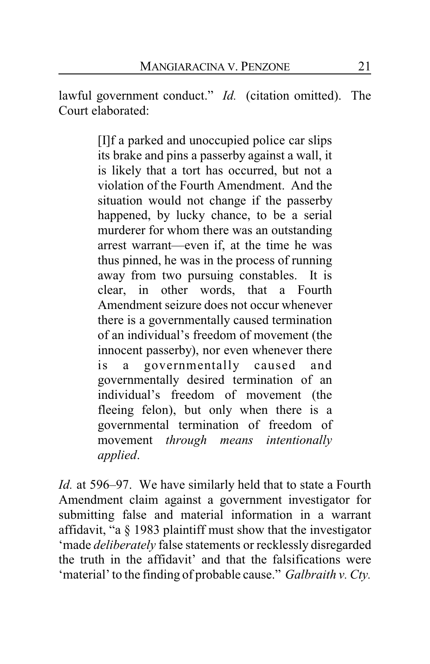lawful government conduct." *Id.* (citation omitted). The Court elaborated:

> [I]f a parked and unoccupied police car slips its brake and pins a passerby against a wall, it is likely that a tort has occurred, but not a violation of the Fourth Amendment. And the situation would not change if the passerby happened, by lucky chance, to be a serial murderer for whom there was an outstanding arrest warrant—even if, at the time he was thus pinned, he was in the process of running away from two pursuing constables. It is clear, in other words, that a Fourth Amendment seizure does not occur whenever there is a governmentally caused termination of an individual's freedom of movement (the innocent passerby), nor even whenever there is a governmentally caused and governmentally desired termination of an individual's freedom of movement (the fleeing felon), but only when there is a governmental termination of freedom of movement *through means intentionally applied*.

*Id.* at 596–97. We have similarly held that to state a Fourth Amendment claim against a government investigator for submitting false and material information in a warrant affidavit, "a § 1983 plaintiff must show that the investigator 'made *deliberately* false statements or recklessly disregarded the truth in the affidavit' and that the falsifications were 'material' to the finding of probable cause." *Galbraith v. Cty.*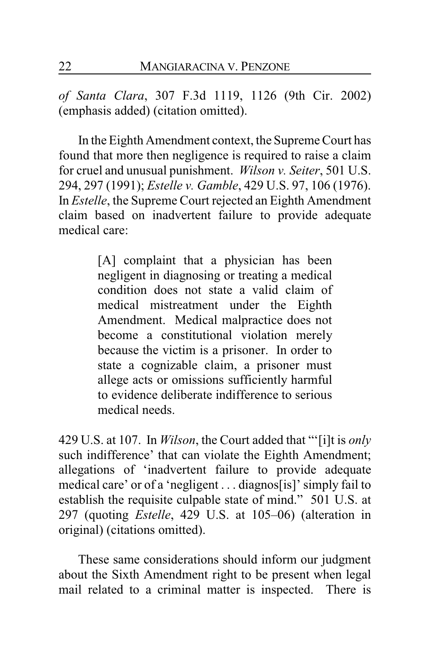*of Santa Clara*, 307 F.3d 1119, 1126 (9th Cir. 2002) (emphasis added) (citation omitted).

In the Eighth Amendment context, the Supreme Court has found that more then negligence is required to raise a claim for cruel and unusual punishment. *Wilson v. Seiter*, 501 U.S. 294, 297 (1991); *Estelle v. Gamble*, 429 U.S. 97, 106 (1976). In *Estelle*, the Supreme Court rejected an Eighth Amendment claim based on inadvertent failure to provide adequate medical care:

> [A] complaint that a physician has been negligent in diagnosing or treating a medical condition does not state a valid claim of medical mistreatment under the Eighth Amendment. Medical malpractice does not become a constitutional violation merely because the victim is a prisoner. In order to state a cognizable claim, a prisoner must allege acts or omissions sufficiently harmful to evidence deliberate indifference to serious medical needs.

429 U.S. at 107. In *Wilson*, the Court added that "'[i]t is *only* such indifference' that can violate the Eighth Amendment; allegations of 'inadvertent failure to provide adequate medical care' or of a 'negligent . . . diagnos[is]' simply fail to establish the requisite culpable state of mind." 501 U.S. at 297 (quoting *Estelle*, 429 U.S. at 105–06) (alteration in original) (citations omitted).

These same considerations should inform our judgment about the Sixth Amendment right to be present when legal mail related to a criminal matter is inspected. There is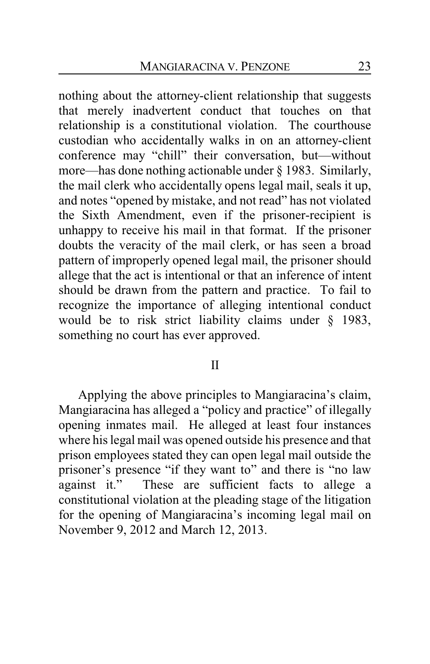nothing about the attorney-client relationship that suggests that merely inadvertent conduct that touches on that relationship is a constitutional violation. The courthouse custodian who accidentally walks in on an attorney-client conference may "chill" their conversation, but—without more—has done nothing actionable under § 1983. Similarly, the mail clerk who accidentally opens legal mail, seals it up, and notes "opened by mistake, and not read" has not violated the Sixth Amendment, even if the prisoner-recipient is unhappy to receive his mail in that format. If the prisoner doubts the veracity of the mail clerk, or has seen a broad pattern of improperly opened legal mail, the prisoner should allege that the act is intentional or that an inference of intent should be drawn from the pattern and practice. To fail to recognize the importance of alleging intentional conduct would be to risk strict liability claims under § 1983, something no court has ever approved.

#### II

Applying the above principles to Mangiaracina's claim, Mangiaracina has alleged a "policy and practice" of illegally opening inmates mail. He alleged at least four instances where his legal mail was opened outside his presence and that prison employees stated they can open legal mail outside the prisoner's presence "if they want to" and there is "no law against it." These are sufficient facts to allege a constitutional violation at the pleading stage of the litigation for the opening of Mangiaracina's incoming legal mail on November 9, 2012 and March 12, 2013.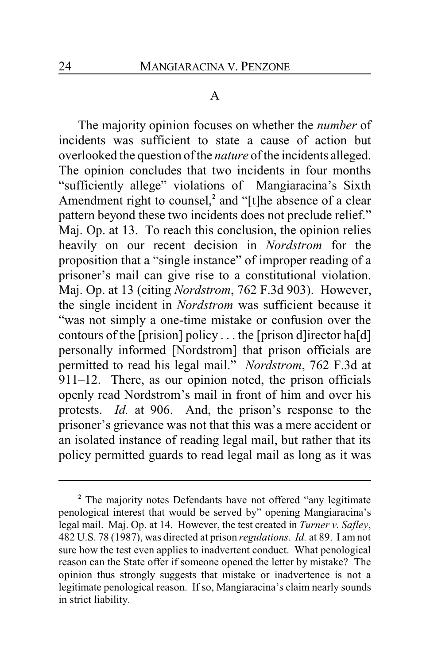#### A

The majority opinion focuses on whether the *number* of incidents was sufficient to state a cause of action but overlooked the question of the *nature* of the incidents alleged. The opinion concludes that two incidents in four months "sufficiently allege" violations of Mangiaracina's Sixth Amendment right to counsel,<sup>2</sup> and "[t]he absence of a clear pattern beyond these two incidents does not preclude relief." Maj. Op. at 13. To reach this conclusion, the opinion relies heavily on our recent decision in *Nordstrom* for the proposition that a "single instance" of improper reading of a prisoner's mail can give rise to a constitutional violation. Maj. Op. at 13 (citing *Nordstrom*, 762 F.3d 903). However, the single incident in *Nordstrom* was sufficient because it "was not simply a one-time mistake or confusion over the contours of the [prision] policy  $\dots$  the [prison d] irector ha[d] personally informed [Nordstrom] that prison officials are permitted to read his legal mail." *Nordstrom*, 762 F.3d at 911–12. There, as our opinion noted, the prison officials openly read Nordstrom's mail in front of him and over his protests. *Id.* at 906. And, the prison's response to the prisoner's grievance was not that this was a mere accident or an isolated instance of reading legal mail, but rather that its policy permitted guards to read legal mail as long as it was

**<sup>2</sup>** The majority notes Defendants have not offered "any legitimate penological interest that would be served by" opening Mangiaracina's legal mail. Maj. Op. at 14. However, the test created in *Turner v. Safley*, 482 U.S. 78 (1987), was directed at prison *regulations*. *Id.* at 89. I am not sure how the test even applies to inadvertent conduct. What penological reason can the State offer if someone opened the letter by mistake? The opinion thus strongly suggests that mistake or inadvertence is not a legitimate penological reason. If so, Mangiaracina's claim nearly sounds in strict liability.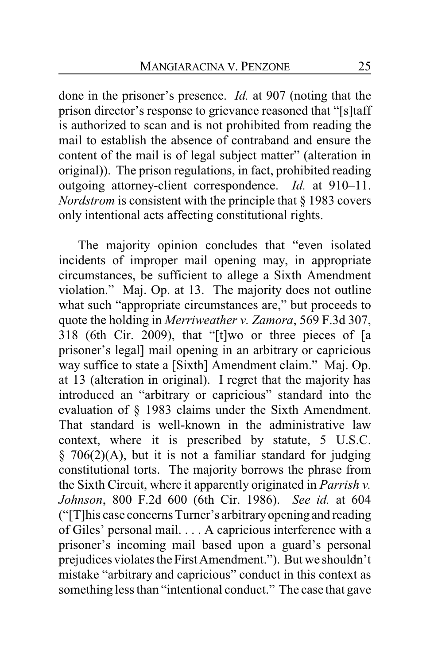done in the prisoner's presence. *Id.* at 907 (noting that the prison director's response to grievance reasoned that "[s]taff is authorized to scan and is not prohibited from reading the mail to establish the absence of contraband and ensure the content of the mail is of legal subject matter" (alteration in original)). The prison regulations, in fact, prohibited reading outgoing attorney-client correspondence. *Id.* at 910–11. *Nordstrom* is consistent with the principle that § 1983 covers only intentional acts affecting constitutional rights.

The majority opinion concludes that "even isolated incidents of improper mail opening may, in appropriate circumstances, be sufficient to allege a Sixth Amendment violation." Maj. Op. at 13. The majority does not outline what such "appropriate circumstances are," but proceeds to quote the holding in *Merriweather v. Zamora*, 569 F.3d 307, 318 (6th Cir. 2009), that "[t]wo or three pieces of [a prisoner's legal] mail opening in an arbitrary or capricious way suffice to state a [Sixth] Amendment claim." Maj. Op. at 13 (alteration in original). I regret that the majority has introduced an "arbitrary or capricious" standard into the evaluation of § 1983 claims under the Sixth Amendment. That standard is well-known in the administrative law context, where it is prescribed by statute, 5 U.S.C.  $§$  706(2)(A), but it is not a familiar standard for judging constitutional torts. The majority borrows the phrase from the Sixth Circuit, where it apparently originated in *Parrish v. Johnson*, 800 F.2d 600 (6th Cir. 1986). *See id.* at 604 ("[T]his case concerns Turner's arbitraryopening and reading of Giles' personal mail. . . . A capricious interference with a prisoner's incoming mail based upon a guard's personal prejudices violates the First Amendment."). But we shouldn't mistake "arbitrary and capricious" conduct in this context as something less than "intentional conduct." The case that gave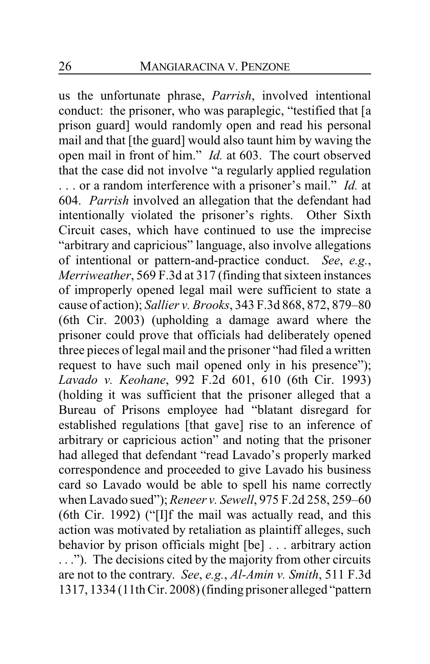us the unfortunate phrase, *Parrish*, involved intentional conduct: the prisoner, who was paraplegic, "testified that [a prison guard] would randomly open and read his personal mail and that [the guard] would also taunt him by waving the open mail in front of him." *Id.* at 603. The court observed that the case did not involve "a regularly applied regulation . . . or a random interference with a prisoner's mail." *Id.* at 604. *Parrish* involved an allegation that the defendant had intentionally violated the prisoner's rights. Other Sixth Circuit cases, which have continued to use the imprecise "arbitrary and capricious" language, also involve allegations of intentional or pattern-and-practice conduct. *See*, *e.g.*, *Merriweather*, 569 F.3d at 317 (finding that sixteen instances of improperly opened legal mail were sufficient to state a cause of action); *Sallier v. Brooks*, 343 F.3d 868, 872, 879–80 (6th Cir. 2003) (upholding a damage award where the prisoner could prove that officials had deliberately opened three pieces of legal mail and the prisoner "had filed a written request to have such mail opened only in his presence"); *Lavado v. Keohane*, 992 F.2d 601, 610 (6th Cir. 1993) (holding it was sufficient that the prisoner alleged that a Bureau of Prisons employee had "blatant disregard for established regulations [that gave] rise to an inference of arbitrary or capricious action" and noting that the prisoner had alleged that defendant "read Lavado's properly marked correspondence and proceeded to give Lavado his business card so Lavado would be able to spell his name correctly when Lavado sued"); *Reneer v. Sewell*, 975 F.2d 258, 259–60 (6th Cir. 1992) ("[I]f the mail was actually read, and this action was motivated by retaliation as plaintiff alleges, such behavior by prison officials might [be] . . . arbitrary action . . ."). The decisions cited by the majority from other circuits are not to the contrary. *See*, *e.g.*, *Al-Amin v. Smith*, 511 F.3d 1317, 1334 (11th Cir. 2008) (finding prisoner alleged "pattern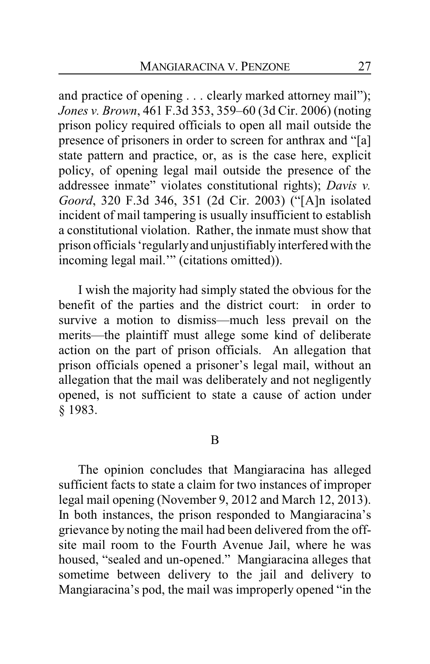and practice of opening . . . clearly marked attorney mail"); *Jones v. Brown*, 461 F.3d 353, 359–60 (3d Cir. 2006) (noting prison policy required officials to open all mail outside the presence of prisoners in order to screen for anthrax and "[a] state pattern and practice, or, as is the case here, explicit policy, of opening legal mail outside the presence of the addressee inmate" violates constitutional rights); *Davis v. Goord*, 320 F.3d 346, 351 (2d Cir. 2003) ("[A]n isolated incident of mail tampering is usually insufficient to establish a constitutional violation. Rather, the inmate must show that prison officials 'regularlyand unjustifiablyinterfered with the incoming legal mail.'" (citations omitted)).

I wish the majority had simply stated the obvious for the benefit of the parties and the district court: in order to survive a motion to dismiss—much less prevail on the merits—the plaintiff must allege some kind of deliberate action on the part of prison officials. An allegation that prison officials opened a prisoner's legal mail, without an allegation that the mail was deliberately and not negligently opened, is not sufficient to state a cause of action under § 1983.

#### B

The opinion concludes that Mangiaracina has alleged sufficient facts to state a claim for two instances of improper legal mail opening (November 9, 2012 and March 12, 2013). In both instances, the prison responded to Mangiaracina's grievance by noting the mail had been delivered from the offsite mail room to the Fourth Avenue Jail, where he was housed, "sealed and un-opened." Mangiaracina alleges that sometime between delivery to the jail and delivery to Mangiaracina's pod, the mail was improperly opened "in the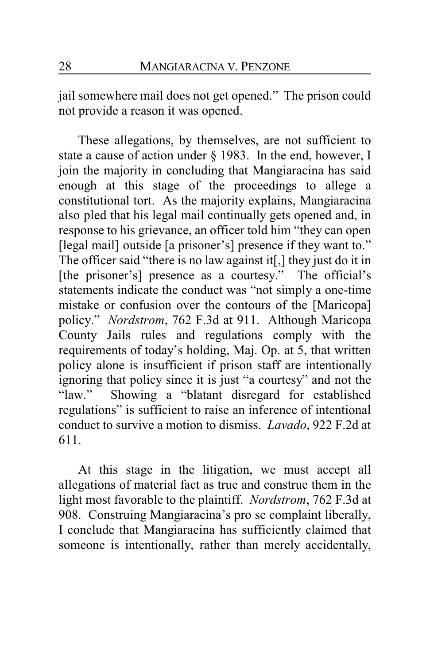jail somewhere mail does not get opened." The prison could not provide a reason it was opened.

These allegations, by themselves, are not sufficient to state a cause of action under § 1983. In the end, however, I join the majority in concluding that Mangiaracina has said enough at this stage of the proceedings to allege a constitutional tort. As the majority explains, Mangiaracina also pled that his legal mail continually gets opened and, in response to his grievance, an officer told him "they can open [legal mail] outside [a prisoner's] presence if they want to." The officer said "there is no law against it[,] they just do it in [the prisoner's] presence as a courtesy." The official's statements indicate the conduct was "not simply a one-time mistake or confusion over the contours of the [Maricopa] policy." *Nordstrom*, 762 F.3d at 911. Although Maricopa County Jails rules and regulations comply with the requirements of today's holding, Maj. Op. at 5, that written policy alone is insufficient if prison staff are intentionally ignoring that policy since it is just "a courtesy" and not the "law." Showing a "blatant disregard for established regulations" is sufficient to raise an inference of intentional conduct to survive a motion to dismiss. *Lavado*, 922 F.2d at 611.

At this stage in the litigation, we must accept all allegations of material fact as true and construe them in the light most favorable to the plaintiff. *Nordstrom*, 762 F.3d at 908. Construing Mangiaracina's pro se complaint liberally, I conclude that Mangiaracina has sufficiently claimed that someone is intentionally, rather than merely accidentally,